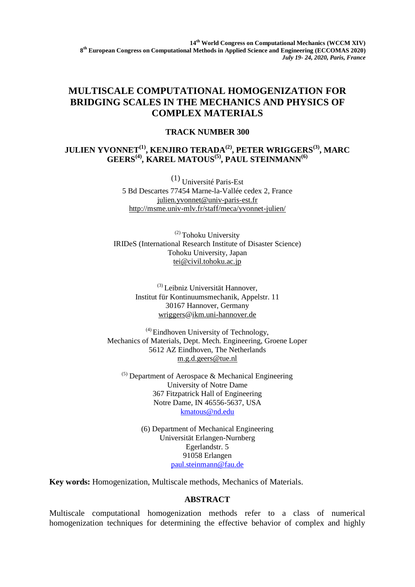## **MULTISCALE COMPUTATIONAL HOMOGENIZATION FOR BRIDGING SCALES IN THE MECHANICS AND PHYSICS OF COMPLEX MATERIALS**

## **TRACK NUMBER 300**

## **JULIEN YVONNET(1), KENJIRO TERADA(2), PETER WRIGGERS(3), MARC GEERS(4), KAREL MATOUS(5), PAUL STEINMANN(6)**

(1) Université Paris-Est 5 Bd Descartes 77454 Marne-la-Vallée cedex 2, France [julien.yvonnet@univ-paris-est.fr](mailto:julien.yvonnet@univ-paris-est.fr) <http://msme.univ-mlv.fr/staff/meca/yvonnet-julien/>

(2) Tohoku University IRIDeS (International Research Institute of Disaster Science) Tohoku University, Japan [tei@civil.tohoku.ac.jp](mailto:tei@civil.tohoku.ac.jp)

> (3) Leibniz Universität Hannover, Institut für Kontinuumsmechanik, Appelstr. 11 30167 Hannover, Germany [wriggers@ikm.uni-hannover.de](javascript:linkTo_UnCryptMailto()

 $^{(4)}$  Eindhoven University of Technology, Mechanics of Materials, Dept. Mech. Engineering, Groene Loper 5612 AZ Eindhoven, The Netherlands [m.g.d.geers@tue.nl](mailto:m.g.d.geers@tue.nl)

 $(5)$  Department of Aerospace & Mechanical Engineering University of Notre Dame 367 Fitzpatrick Hall of Engineering Notre Dame, IN 46556-5637, USA [kmatous@nd.edu](mailto:kmatous@nd.edu)

> (6) Department of Mechanical Engineering Universität Erlangen-Nurnberg Egerlandstr. 5 91058 Erlangen [paul.steinmann@fau.de](mailto:paul.steinmann@fau.de)

**Key words:** Homogenization, Multiscale methods, Mechanics of Materials.

## **ABSTRACT**

Multiscale computational homogenization methods refer to a class of numerical homogenization techniques for determining the effective behavior of complex and highly